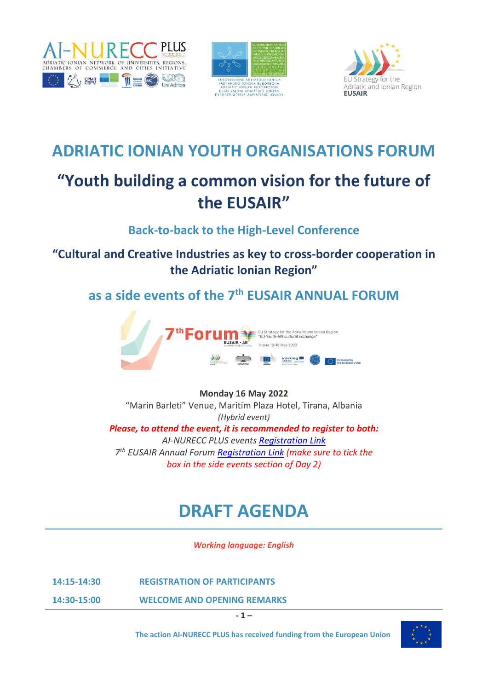





## **ADRIATIC IONIAN YOUTH ORGANISATIONS FORUM**

# **"Youth building a common vision for the future of the EUSAIR"**

**Back-to-back to the High-Level Conference** 

### **"Cultural and Creative Industries as key to cross-border cooperation in the Adriatic Ionian Region"**

**as a side events of the 7 th EUSAIR ANNUAL FORUM** 



#### **Monday 16 May 2022**

"Marin Barleti" Venue, Maritim Plaza Hotel, Tirana, Albania *(Hybrid event) Please, to attend the event, it is recommended to register to both: AI-NURECC PLUS events [Registration Link](https://forms.gle/c8JeBkZc4zDA5SNm6) 7 th EUSAIR Annual Forum [Registration Link](https://www.adriatic-ionian.eu/event/7th-annual-eusair-forum/registration/) (make sure to tick the box in the side events section of Day 2)*

# **DRAFT AGENDA**

*Working language: English*

**14:15-14:30 REGISTRATION OF PARTICIPANTS**

**14:30-15:00 WELCOME AND OPENING REMARKS**

**- 1 –**

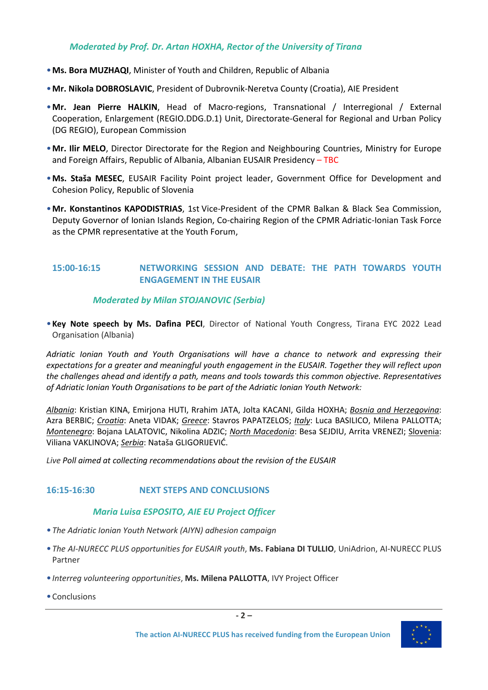#### *Moderated by Prof. Dr. Artan HOXHA, Rector of the University of Tirana*

- •**Ms. Bora MUZHAQI**, Minister of Youth and Children, Republic of Albania
- •**Mr. Nikola DOBROSLAVIC**, President of Dubrovnik-Neretva County (Croatia), AIE President
- •**Mr. Jean Pierre HALKIN**, Head of Macro-regions, Transnational / Interregional / External Cooperation, Enlargement (REGIO.DDG.D.1) Unit, Directorate-General for Regional and Urban Policy (DG REGIO), European Commission
- •**Mr. Ilir MELO**, Director Directorate for the Region and Neighbouring Countries, Ministry for Europe and Foreign Affairs, Republic of Albania, Albanian EUSAIR Presidency - TBC
- •**Ms. Staša MESEC**, EUSAIR Facility Point project leader, Government Office for Development and Cohesion Policy, Republic of Slovenia
- •**Mr. Konstantinos KAPODISTRIAS**, 1st Vice-President of the CPMR Balkan & Black Sea Commission, Deputy Governor of Ionian Islands Region, Co-chairing Region of the CPMR Adriatic-Ionian Task Force as the CPMR representative at the Youth Forum,

#### **15:00-16:15 NETWORKING SESSION AND DEBATE: THE PATH TOWARDS YOUTH ENGAGEMENT IN THE EUSAIR**

#### *Moderated by Milan STOJANOVIC (Serbia)*

•**Key Note speech by Ms. Dafina PECI**, Director of National Youth Congress, Tirana EYC 2022 Lead Organisation (Albania)

*Adriatic Ionian Youth and Youth Organisations will have a chance to network and expressing their expectations for a greater and meaningful youth engagement in the EUSAIR. Together they will reflect upon the challenges ahead and identify a path, means and tools towards this common objective. Representatives of Adriatic Ionian Youth Organisations to be part of the Adriatic Ionian Youth Network:* 

*Albania*: Kristian KINA, Emirjona HUTI, Rrahim JATA, Jolta KACANI, Gilda HOXHA; *Bosnia and Herzegovina*: Azra BERBIC; *Croatia*: Aneta VIDAK; *Greece*: Stavros PAPATZELOS; *Italy*: Luca BASILICO, Milena PALLOTTA; *Montenegro*: Bojana LALATOVIC, Nikolina ADZIC; *North Macedonia*: Besa SEJDIU, Arrita VRENEZI; Slovenia: Viliana VAKLINOVA; *Serbia*: Nataša GLIGORIJEVIĆ.

*Live Poll aimed at collecting recommendations about the revision of the EUSAIR*

#### **16:15-16:30 NEXT STEPS AND CONCLUSIONS**

#### *Maria Luisa ESPOSITO, AIE EU Project Officer*

- •*The Adriatic Ionian Youth Network (AIYN) adhesion campaign*
- •*The AI-NURECC PLUS opportunities for EUSAIR youth*, **Ms. Fabiana DI TULLIO**, UniAdrion, AI-NURECC PLUS Partner
- •*Interreg volunteering opportunities*, **Ms. Milena PALLOTTA**, IVY Project Officer
- Conclusions